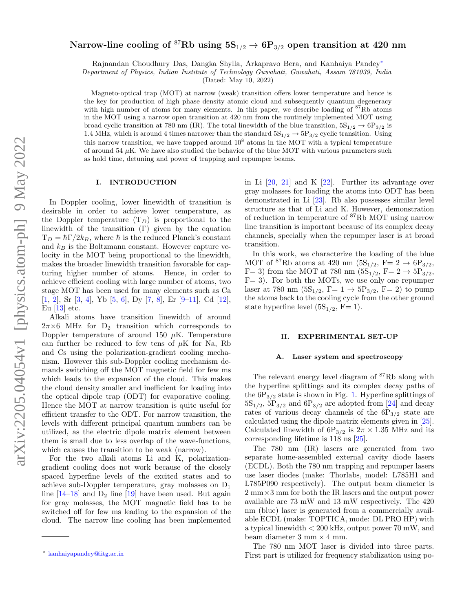# Narrow-line cooling of <sup>87</sup>Rb using  $5S_{1/2} \rightarrow 6P_{3/2}$  open transition at 420 nm

Rajnandan Choudhury Das, Dangka Shylla, Arkapravo Bera, and Kanhaiya Pandey[∗](#page-0-0)

Department of Physics, Indian Institute of Technology Guwahati, Guwahati, Assam 781039, India

(Dated: May 10, 2022)

Magneto-optical trap (MOT) at narrow (weak) transition offers lower temperature and hence is the key for production of high phase density atomic cloud and subsequently quantum degeneracy with high number of atoms for many elements. In this paper, we describe loading of <sup>87</sup>Rb atoms in the MOT using a narrow open transition at 420 nm from the routinely implemented MOT using broad cyclic transition at 780 nm (IR). The total linewidth of the blue transition,  $5S_{1/2} \rightarrow 6P_{3/2}$  is 1.4 MHz, which is around 4 times narrower than the standard  $5S_{1/2} \rightarrow 5P_{3/2}$  cyclic transition. Using this narrow transition, we have trapped around  $10<sup>8</sup>$  atoms in the MOT with a typical temperature of around 54  $\mu$ K. We have also studied the behavior of the blue MOT with various parameters such as hold time, detuning and power of trapping and repumper beams.

## I. INTRODUCTION

In Doppler cooling, lower linewidth of transition is desirable in order to achieve lower temperature, as the Doppler temperature  $(T_D)$  is proportional to the linewidth of the transition  $(Γ)$  given by the equation  $T_D = \hbar \Gamma/2k_B$ , where  $\hbar$  is the reduced Planck's constant and  $k_B$  is the Boltzmann constant. However capture velocity in the MOT being proportional to the linewidth, makes the broader linewidth transition favorable for capturing higher number of atoms. Hence, in order to achieve efficient cooling with large number of atoms, two stage MOT has been used for many elements such as Ca [\[1,](#page-5-0) [2\]](#page-5-1), Sr [\[3,](#page-5-2) [4\]](#page-5-3), Yb [\[5,](#page-5-4) [6\]](#page-5-5), Dy [\[7,](#page-5-6) [8\]](#page-5-7), Er [\[9–](#page-5-8)[11\]](#page-5-9), Cd [\[12\]](#page-5-10), Eu [\[13\]](#page-5-11) etc.

Alkali atoms have transition linewidth of around  $2\pi\times6\,$  MHz for  $\,$  D $\!_2\,$  transition which corresponds to Doppler temperature of around 150  $\mu$ K. Temperature can further be reduced to few tens of  $\mu$ K for Na, Rb and Cs using the polarization-gradient cooling mechanism. However this sub-Doppler cooling mechanism demands switching off the MOT magnetic field for few ms which leads to the expansion of the cloud. This makes the cloud density smaller and inefficient for loading into the optical dipole trap (ODT) for evaporative cooling. Hence the MOT at narrow transition is quite useful for efficient transfer to the ODT. For narrow transition, the levels with different principal quantum numbers can be utilized, as the electric dipole matrix element between them is small due to less overlap of the wave-functions, which causes the transition to be weak (narrow).

For the two alkali atoms Li and K, polarizationgradient cooling does not work because of the closely spaced hyperfine levels of the excited states and to achieve sub-Doppler temperature, gray molasses on D<sup>1</sup> line  $[14-18]$  $[14-18]$  and  $D_2$  line  $[19]$  have been used. But again for gray molasses, the MOT magnetic field has to be switched off for few ms leading to the expansion of the cloud. The narrow line cooling has been implemented

in Li [\[20,](#page-6-2) [21\]](#page-6-3) and K [\[22\]](#page-6-4). Further its advantage over gray molasses for loading the atoms into ODT has been demonstrated in Li [\[23\]](#page-6-5). Rb also possesses similar level structure as that of Li and K. However, demonstration of reduction in temperature of <sup>87</sup>Rb MOT using narrow line transition is important because of its complex decay channels, specially when the repumper laser is at broad transition.

In this work, we characterize the loading of the blue MOT of <sup>87</sup>Rb atoms at 420 nm (5S<sub>1/2</sub>, F= 2  $\rightarrow$  6P<sub>3/2</sub>, F= 3) from the MOT at 780 nm  $(5S_{1/2}, F= 2 \rightarrow 5P_{3/2},$  $F= 3$ ). For both the MOTs, we use only one repumper laser at 780 nm  $(5S_{1/2}, F= 1 \rightarrow 5P_{3/2}, F= 2)$  to pump the atoms back to the cooling cycle from the other ground state hyperfine level  $(5S_{1/2}, F=1)$ .

## II. EXPERIMENTAL SET-UP

#### <span id="page-0-1"></span>A. Laser system and spectroscopy

The relevant energy level diagram of <sup>87</sup>Rb along with the hyperfine splittings and its complex decay paths of the  $6P_{3/2}$  state is shown in Fig. [1.](#page-1-0) Hyperfine splittings of  $5S_{1/2}$ ,  $5P_{3/2}$  and  $6P_{3/2}$  are adopted from [\[24\]](#page-6-6) and decay rates of various decay channels of the  $6P_{3/2}$  state are calculated using the dipole matrix elements given in [\[25\]](#page-6-7). Calculated linewidth of  $6P_{3/2}$  is  $2\pi \times 1.35$  MHz and its corresponding lifetime is 118 ns [\[25\]](#page-6-7).

The 780 nm (IR) lasers are generated from two separate home-assembled external cavity diode lasers (ECDL). Both the 780 nm trapping and repumper lasers use laser diodes (make: Thorlabs, model: L785H1 and L785P090 respectively). The output beam diameter is  $2 \text{ mm} \times 3 \text{ mm}$  for both the IR lasers and the output power available are 73 mW and 13 mW respectively. The 420 nm (blue) laser is generated from a commercially available ECDL (make: TOPTICA, mode: DL PRO HP) with a typical linewidth < 200 kHz, output power 70 mW, and beam diameter  $3 \text{ mm} \times 4 \text{ mm}$ .

The 780 nm MOT laser is divided into three parts. First part is utilized for frequency stabilization using po-

<span id="page-0-0"></span><sup>∗</sup> [kanhaiyapandey@iitg.ac.in](mailto:kanhaiyapandey@iitg.ac.in)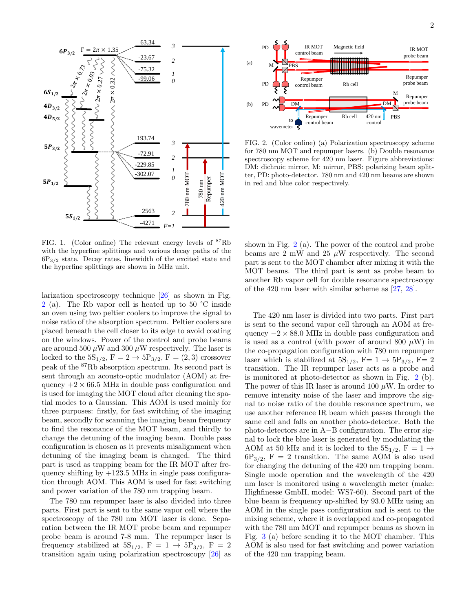

<span id="page-1-0"></span>FIG. 1. (Color online) The relevant energy levels of  ${}^{87}Rb$ with the hyperfine splittings and various decay paths of the  $6P_{3/2}$  state. Decay rates, linewidth of the excited state and the hyperfine splittings are shown in MHz unit.

larization spectroscopy technique [\[26\]](#page-6-8) as shown in Fig. [2](#page-1-1) (a). The Rb vapor cell is heated up to 50 °C inside an oven using two peltier coolers to improve the signal to noise ratio of the absorption spectrum. Peltier coolers are placed beneath the cell closer to its edge to avoid coating on the windows. Power of the control and probe beams are around 500  $\mu$ W and 300  $\mu$ W respectively. The laser is locked to the  $5S_{1/2}$ ,  $F = 2 \rightarrow 5P_{3/2}$ ,  $F = (2, 3)$  crossover peak of the <sup>87</sup>Rb absorption spectrum. Its second part is sent through an acousto-optic modulator (AOM) at frequency  $+2 \times 66.5$  MHz in double pass configuration and is used for imaging the MOT cloud after cleaning the spatial modes to a Gaussian. This AOM is used mainly for three purposes: firstly, for fast switching of the imaging beam, secondly for scanning the imaging beam frequency to find the resonance of the MOT beam, and thirdly to change the detuning of the imaging beam. Double pass configuration is chosen as it prevents misalignment when detuning of the imaging beam is changed. The third part is used as trapping beam for the IR MOT after frequency shifting by  $+123.5$  MHz in single pass configuration through AOM. This AOM is used for fast switching and power variation of the 780 nm trapping beam.

The 780 nm repumper laser is also divided into three parts. First part is sent to the same vapor cell where the spectroscopy of the 780 nm MOT laser is done. Separation between the IR MOT probe beam and repumper probe beam is around 7-8 mm. The repumper laser is frequency stabilized at  $5S_{1/2}$ ,  $F = 1 \rightarrow 5P_{3/2}$ ,  $F = 2$ transition again using polarization spectroscopy [\[26\]](#page-6-8) as



<span id="page-1-1"></span>FIG. 2. (Color online) (a) Polarization spectroscopy scheme for 780 nm MOT and repumper lasers. (b) Double resonance spectroscopy scheme for 420 nm laser. Figure abbreviations: DM: dichroic mirror, M: mirror, PBS: polarizing beam splitter, PD: photo-detector. 780 nm and 420 nm beams are shown in red and blue color respectively.

shown in Fig. [2](#page-1-1) (a). The power of the control and probe beams are 2 mW and 25  $\mu$ W respectively. The second part is sent to the MOT chamber after mixing it with the MOT beams. The third part is sent as probe beam to another Rb vapor cell for double resonance spectroscopy of the 420 nm laser with similar scheme as [\[27,](#page-6-9) [28\]](#page-6-10).

The 420 nm laser is divided into two parts. First part is sent to the second vapor cell through an AOM at frequency  $-2 \times 88.0$  MHz in double pass configuration and is used as a control (with power of around 800  $\mu$ W) in the co-propagation configuration with 780 nm repumper laser which is stabilized at  $5S_{1/2}$ , F= 1  $\rightarrow$  5P<sub>3/2</sub>, F= 2 transition. The IR repumper laser acts as a probe and is monitored at photo-detector as shown in Fig. [2](#page-1-1) (b). The power of this IR laser is around 100  $\mu$ W. In order to remove intensity noise of the laser and improve the signal to noise ratio of the double resonance spectrum, we use another reference IR beam which passes through the same cell and falls on another photo-detector. Both the photo-detectors are in A−B configuration. The error signal to lock the blue laser is generated by modulating the AOM at 50 kHz and it is locked to the  $5S_{1/2}$ ,  $F = 1 \rightarrow$  $6P_{3/2}$ , F = 2 transition. The same AOM is also used for changing the detuning of the 420 nm trapping beam. Single mode operation and the wavelength of the 420 nm laser is monitored using a wavelength meter (make: Highfinesse GmbH, model: WS7-60). Second part of the blue beam is frequency up-shifted by 93.0 MHz using an AOM in the single pass configuration and is sent to the mixing scheme, where it is overlapped and co-propagated with the 780 nm MOT and repumper beams as shown in Fig. [3](#page-2-0) (a) before sending it to the MOT chamber. This AOM is also used for fast switching and power variation of the 420 nm trapping beam.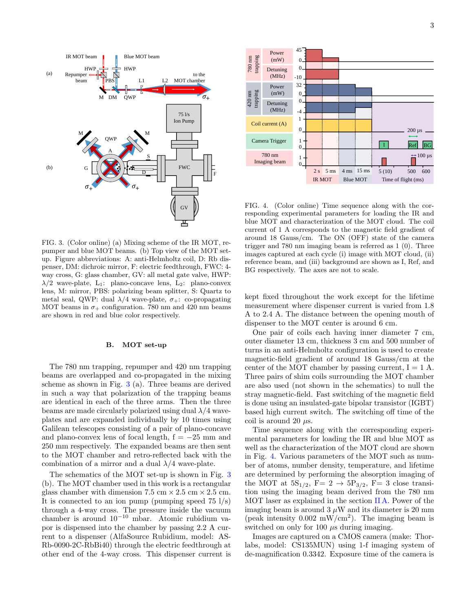



<span id="page-2-0"></span>FIG. 3. (Color online) (a) Mixing scheme of the IR MOT, repumper and blue MOT beams. (b) Top view of the MOT setup. Figure abbreviations: A: anti-Helmholtz coil, D: Rb dispenser, DM: dichroic mirror, F: electric feedthrough, FWC: 4 way cross, G: glass chamber, GV: all metal gate valve, HWP:  $\lambda/2$  wave-plate, L<sub>1</sub>: plano-concave lens, L<sub>2</sub>: plano-convex lens, M: mirror, PBS: polarizing beam splitter, S: Quartz to metal seal, QWP: dual  $\lambda/4$  wave-plate,  $\sigma_{+}$ : co-propagating MOT beams in  $\sigma_{+}$  configuration. 780 nm and 420 nm beams are shown in red and blue color respectively.

# B. MOT set-up

The 780 nm trapping, repumper and 420 nm trapping beams are overlapped and co-propagated in the mixing scheme as shown in Fig. [3](#page-2-0) (a). Three beams are derived in such a way that polarization of the trapping beams are identical in each of the three arms. Then the three beams are made circularly polarized using dual  $\lambda/4$  waveplates and are expanded individually by 10 times using Galilean telescopes consisting of a pair of plano-concave and plano-convex lens of focal length,  $f = -25$  mm and 250 mm respectively. The expanded beams are then sent to the MOT chamber and retro-reflected back with the combination of a mirror and a dual  $\lambda/4$  wave-plate. **EXERCUSE THE SURFACE CONSULTER THE ENERGY (EXERCUSE THE SURFACE CONSULTER SURFACE CONSULTER SURFACE CONSULTER SURFACE CONSULTER SURFACE CONSULTER SURFACE CONSULTER SURFACE CONSULTER SURFACE CONSULTER THE SURFACE CONSULTE** 

The schematics of the MOT set-up is shown in Fig. [3](#page-2-0) (b). The MOT chamber used in this work is a rectangular glass chamber with dimension 7.5 cm  $\times$  2.5 cm  $\times$  2.5 cm. It is connected to an ion pump (pumping speed  $75 \frac{1}{s}$ ) through a 4-way cross. The pressure inside the vacuum chamber is around 10<sup>−</sup><sup>10</sup> mbar. Atomic rubidium vapor is dispensed into the chamber by passing 2.2 A current to a dispenser (AlfaSource Rubidium, model: AS-Rb-0090-2C-RbBi40) through the electric feedthrough at

<span id="page-2-1"></span>FIG. 4. (Color online) Time sequence along with the corresponding experimental parameters for loading the IR and blue MOT and characterization of the MOT cloud. The coil current of 1 A corresponds to the magnetic field gradient of around 18 Gauss/cm. The ON (OFF) state of the camera trigger and 780 nm imaging beam is referred as 1 (0). Three images captured at each cycle (i) image with MOT cloud, (ii) reference beam, and (iii) background are shown as I, Ref, and BG respectively. The axes are not to scale.

kept fixed throughout the work except for the lifetime measurement where dispenser current is varied from 1.8 A to 2.4 A. The distance between the opening mouth of dispenser to the MOT center is around 6 cm.

One pair of coils each having inner diameter 7 cm, outer diameter 13 cm, thickness 3 cm and 500 number of turns in an anti-Helmholtz configuration is used to create magnetic-field gradient of around 18 Gauss/cm at the center of the MOT chamber by passing current,  $I = 1$  A. Three pairs of shim coils surrounding the MOT chamber are also used (not shown in the schematics) to null the stray magnetic-field. Fast switching of the magnetic field is done using an insulated-gate bipolar transistor (IGBT) based high current switch. The switching off time of the coil is around 20  $\mu$ s.

Time sequence along with the corresponding experimental parameters for loading the IR and blue MOT as well as the characterization of the MOT cloud are shown in Fig. [4.](#page-2-1) Various parameters of the MOT such as number of atoms, number density, temperature, and lifetime are determined by performing the absorption imaging of the MOT at  $5S_{1/2}$ , F= 2  $\rightarrow$  5P<sub>3/2</sub>, F= 3 close transition using the imaging beam derived from the 780 nm MOT laser as explained in the section [II A.](#page-0-1) Power of the imaging beam is around  $3 \mu W$  and its diameter is 20 mm (peak intensity  $0.002$  mW/cm<sup>2</sup>). The imaging beam is switched on only for 100  $\mu$ s during imaging.

Images are captured on a CMOS camera (make: Thorlabs, model: CS135MUN) using 1-f imaging system of de-magnification 0.3342. Exposure time of the camera is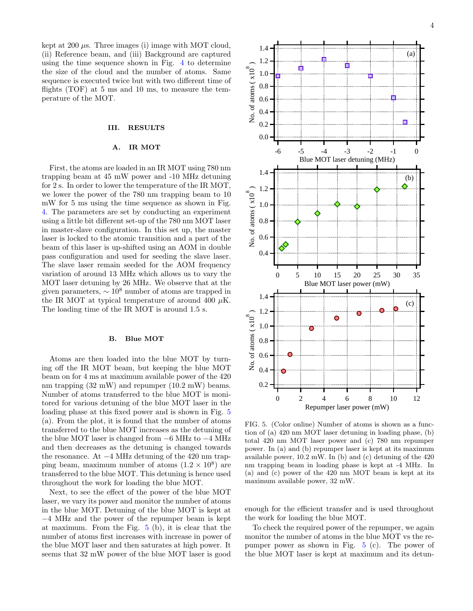kept at 200  $\mu$ s. Three images (i) image with MOT cloud, (ii) Reference beam, and (iii) Background are captured using the time sequence shown in Fig. [4](#page-2-1) to determine the size of the cloud and the number of atoms. Same sequence is executed twice but with two different time of flights  $(TOF)$  at 5 ms and 10 ms, to measure the temperature of the MOT.

## III. RESULTS

# A. IR MOT

First, the atoms are loaded in an IR MOT using 780 nm trapping beam at 45 mW power and -10 MHz detuning for 2 s. In order to lower the temperature of the IR MOT, we lower the power of the 780 nm trapping beam to 10 mW for 5 ms using the time sequence as shown in Fig. [4.](#page-2-1) The parameters are set by conducting an experiment using a little bit different set-up of the 780 nm MOT laser in master-slave configuration. In this set up, the master laser is locked to the atomic transition and a part of the beam of this laser is up-shifted using an AOM in double pass configuration and used for seeding the slave laser. The slave laser remain seeded for the AOM frequency variation of around 13 MHz which allows us to vary the MOT laser detuning by 26 MHz. We observe that at the given parameters,  $\sim 10^8$  number of atoms are trapped in the IR MOT at typical temperature of around 400  $\mu$ K. The loading time of the IR MOT is around 1.5 s.

## B. Blue MOT

Atoms are then loaded into the blue MOT by turning off the IR MOT beam, but keeping the blue MOT beam on for 4 ms at maximum available power of the 420 nm trapping (32 mW) and repumper (10.2 mW) beams. Number of atoms transferred to the blue MOT is monitored for various detuning of the blue MOT laser in the loading phase at this fixed power and is shown in Fig. [5](#page-3-0) (a). From the plot, it is found that the number of atoms transferred to the blue MOT increases as the detuning of the blue MOT laser is changed from −6 MHz to −4 MHz and then decreases as the detuning is changed towards the resonance. At −4 MHz detuning of the 420 nm trapping beam, maximum number of atoms  $(1.2 \times 10^8)$  are transferred to the blue MOT. This detuning is hence used throughout the work for loading the blue MOT.

Next, to see the effect of the power of the blue MOT laser, we vary its power and monitor the number of atoms in the blue MOT. Detuning of the blue MOT is kept at −4 MHz and the power of the repumper beam is kept at maximum. From the Fig. [5](#page-3-0) (b), it is clear that the number of atoms first increases with increase in power of the blue MOT laser and then saturates at high power. It seems that 32 mW power of the blue MOT laser is good



<span id="page-3-0"></span>FIG. 5. (Color online) Number of atoms is shown as a function of (a) 420 nm MOT laser detuning in loading phase, (b) total 420 nm MOT laser power and (c) 780 nm repumper power. In (a) and (b) repumper laser is kept at its maximum available power, 10.2 mW. In (b) and (c) detuning of the 420 nm trapping beam in loading phase is kept at -4 MHz. In (a) and (c) power of the 420 nm MOT beam is kept at its maximum available power, 32 mW.

enough for the efficient transfer and is used throughout the work for loading the blue MOT.

To check the required power of the repumper, we again monitor the number of atoms in the blue MOT vs the repumper power as shown in Fig. [5](#page-3-0) (c). The power of the blue MOT laser is kept at maximum and its detun-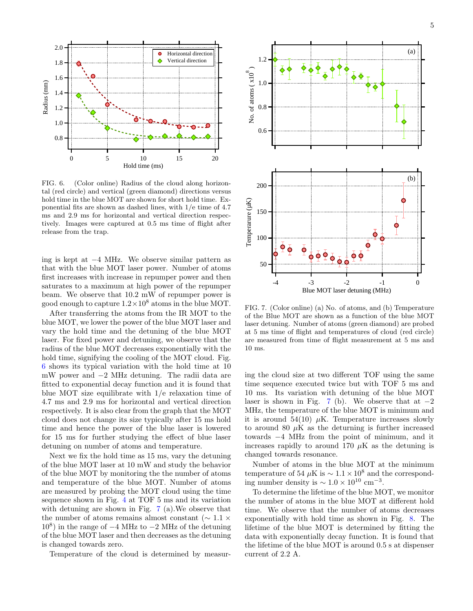

5



<span id="page-4-0"></span>FIG. 6. (Color online) Radius of the cloud along horizontal (red circle) and vertical (green diamond) directions versus hold time in the blue MOT are shown for short hold time. Exponential fits are shown as dashed lines, with 1/e time of 4.7 ms and 2.9 ms for horizontal and vertical direction respectively. Images were captured at 0.5 ms time of flight after release from the trap.

ing is kept at −4 MHz. We observe similar pattern as that with the blue MOT laser power. Number of atoms first increases with increase in repumper power and then saturates to a maximum at high power of the repumper beam. We observe that 10.2 mW of repumper power is good enough to capture  $1.2 \times 10^8$  atoms in the blue MOT.

After transferring the atoms from the IR MOT to the blue MOT, we lower the power of the blue MOT laser and vary the hold time and the detuning of the blue MOT laser. For fixed power and detuning, we observe that the radius of the blue MOT decreases exponentially with the hold time, signifying the cooling of the MOT cloud. Fig. [6](#page-4-0) shows its typical variation with the hold time at 10 mW power and −2 MHz detuning. The radii data are fitted to exponential decay function and it is found that blue MOT size equilibrate with 1/e relaxation time of 4.7 ms and 2.9 ms for horizontal and vertical direction respectively. It is also clear from the graph that the MOT cloud does not change its size typically after 15 ms hold time and hence the power of the blue laser is lowered for 15 ms for further studying the effect of blue laser detuning on number of atoms and temperature.

Next we fix the hold time as 15 ms, vary the detuning of the blue MOT laser at 10 mW and study the behavior of the blue MOT by monitoring the the number of atoms and temperature of the blue MOT. Number of atoms are measured by probing the MOT cloud using the time sequence shown in Fig. [4](#page-2-1) at TOF 5 ms and its variation with detuning are shown in Fig. [7](#page-4-1) (a).We observe that the number of atoms remains almost constant ( $\sim 1.1 \times$ 10<sup>8</sup> ) in the range of −4 MHz to −2 MHz of the detuning of the blue MOT laser and then decreases as the detuning is changed towards zero.

Temperature of the cloud is determined by measur-



<span id="page-4-1"></span>FIG. 7. (Color online) (a) No. of atoms, and (b) Temperature of the Blue MOT are shown as a function of the blue MOT laser detuning. Number of atoms (green diamond) are probed at 5 ms time of flight and temperatures of cloud (red circle) are measured from time of flight measurement at 5 ms and 10 ms.

ing the cloud size at two different TOF using the same time sequence executed twice but with TOF 5 ms and 10 ms. Its variation with detuning of the blue MOT laser is shown in Fig. [7](#page-4-1) (b). We observe that at  $-2$ MHz, the temperature of the blue MOT is minimum and it is around 54(10)  $\mu$ K. Temperature increases slowly to around 80  $\mu$ K as the deturning is further increased towards −4 MHz from the point of minimum, and it increases rapidly to around 170  $\mu$ K as the detuning is changed towards resonance.

Number of atoms in the blue MOT at the minimum temperature of 54  $\mu$ K is ~ 1.1 × 10<sup>8</sup> and the corresponding number density is  $\sim 1.0 \times 10^{10}$  cm<sup>-3</sup>.

To determine the lifetime of the blue MOT, we monitor the number of atoms in the blue MOT at different hold time. We observe that the number of atoms decreases exponentially with hold time as shown in Fig. [8.](#page-5-13) The lifetime of the blue MOT is determined by fitting the data with exponentially decay function. It is found that the lifetime of the blue MOT is around 0.5 s at dispenser current of 2.2 A.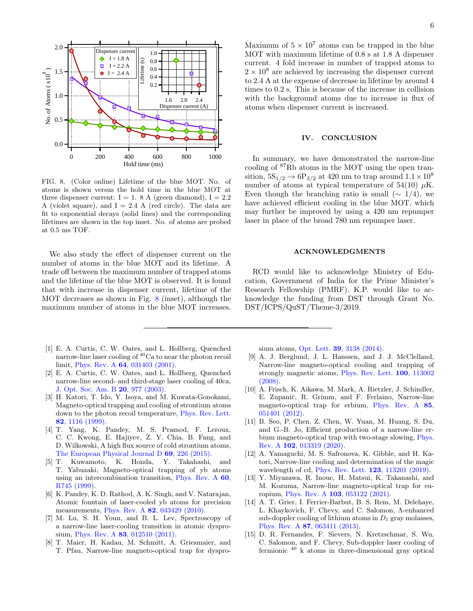

<span id="page-5-13"></span>FIG. 8. (Color online) Lifetime of the blue MOT. No. of atoms is shown versus the hold time in the blue MOT at three dispenser current:  $I = 1.8$  A (green diamond),  $I = 2.2$ A (violet square), and  $I = 2.4$  A (red circle). The data are fit to exponential decays (solid lines) and the corresponding lifetimes are shown in the top inset. No. of atoms are probed at 0.5 ms TOF.

We also study the effect of dispenser current on the number of atoms in the blue MOT and its lifetime. A trade off between the maximum number of trapped atoms and the lifetime of the blue MOT is observed. It is found that with increase in dispenser current, lifetime of the MOT decreases as shown in Fig. [8](#page-5-13) (inset), although the maximum number of atoms in the blue MOT increases.

- <span id="page-5-0"></span>[1] E. A. Curtis, C. W. Oates, and L. Hollberg, Quenched narrow-line laser cooling of  ${}^{40}$ Ca to near the photon recoil limit, Phys. Rev. A 64[, 031403 \(2001\).](https://doi.org/10.1103/PhysRevA.64.031403)
- <span id="page-5-1"></span>[2] E. A. Curtis, C. W. Oates, and L. Hollberg, Quenched narrow-line second- and third-stage laser cooling of 40ca, [J. Opt. Soc. Am. B](https://doi.org/10.1364/JOSAB.20.000977) 20, 977 (2003).
- <span id="page-5-2"></span>[3] H. Katori, T. Ido, Y. Isoya, and M. Kuwata-Gonokami, Magneto-optical trapping and cooling of strontium atoms down to the photon recoil temperature, [Phys. Rev. Lett.](https://doi.org/10.1103/PhysRevLett.82.1116) 82[, 1116 \(1999\).](https://doi.org/10.1103/PhysRevLett.82.1116)
- <span id="page-5-3"></span>[4] T. Yang, K. Pandey, M. S. Pramod, F. Leroux, C. C. Kwong, E. Hajiyev, Z. Y. Chia, B. Fang, and D. Wilkowski, A high flux source of cold strontium atoms, [The European Physical Journal D](https://doi.org/10.1140/epjd/e2015-60288-y) 69, 226 (2015).
- <span id="page-5-4"></span>[5] T. Kuwamoto, K. Honda, Y. Takahashi, and T. Yabuzaki, Magneto-optical trapping of yb atoms using an intercombination transition, [Phys. Rev. A](https://doi.org/10.1103/PhysRevA.60.R745) 60, [R745 \(1999\).](https://doi.org/10.1103/PhysRevA.60.R745)
- <span id="page-5-5"></span>[6] K. Pandey, K. D. Rathod, A. K. Singh, and V. Natarajan, Atomic fountain of laser-cooled yb atoms for precision measurements, Phys. Rev. A 82[, 043429 \(2010\).](https://doi.org/10.1103/PhysRevA.82.043429)
- <span id="page-5-6"></span>[7] M. Lu, S. H. Youn, and B. L. Lev, Spectroscopy of a narrow-line laser-cooling transition in atomic dysprosium, Phys. Rev. A **83**[, 012510 \(2011\).](https://doi.org/10.1103/PhysRevA.83.012510)
- <span id="page-5-7"></span>[8] T. Maier, H. Kadau, M. Schmitt, A. Griesmaier, and T. Pfau, Narrow-line magneto-optical trap for dyspro-

Maximum of  $5 \times 10^7$  atoms can be trapped in the blue MOT with maximum lifetime of 0.8 s at 1.8 A dispenser current. 4 fold increase in number of trapped atoms to  $2 \times 10^8$  are achieved by increasing the dispenser current to 2.4 A at the expense of decrease in lifetime by around 4 times to 0.2 s. This is because of the increase in collision with the background atoms due to increase in flux of atoms when dispenser current is increased.

#### IV. CONCLUSION

In summary, we have demonstrated the narrow-line cooling of <sup>87</sup>Rb atoms in the MOT using the open transition,  $5S_{1/2} \rightarrow 6P_{3/2}$  at 420 nm to trap around  $1.1 \times 10^8$ number of atoms at typical temperature of 54(10)  $\mu$ K. Even though the branching ratio is small  $(\sim 1/4)$ , we have achieved efficient cooling in the blue MOT, which may further be improved by using a 420 nm repumper laser in place of the broad 780 nm repumper laser.

#### ACKNOWLEDGMENTS

RCD would like to acknowledge Ministry of Education, Government of India for the Prime Minister's Research Fellowship (PMRF). K.P. would like to acknowledge the funding from DST through Grant No. DST/ICPS/QuST/Theme-3/2019.

sium atoms, Opt. Lett. 39[, 3138 \(2014\).](https://doi.org/10.1364/OL.39.003138)

- <span id="page-5-8"></span>[9] A. J. Berglund, J. L. Hanssen, and J. J. McClelland, Narrow-line magneto-optical cooling and trapping of strongly magnetic atoms, [Phys. Rev. Lett.](https://doi.org/10.1103/PhysRevLett.100.113002) 100, 113002 [\(2008\).](https://doi.org/10.1103/PhysRevLett.100.113002)
- [10] A. Frisch, K. Aikawa, M. Mark, A. Rietzler, J. Schindler, E. Zupanič, R. Grimm, and F. Ferlaino, Narrow-line magneto-optical trap for erbium, [Phys. Rev. A](https://doi.org/10.1103/PhysRevA.85.051401) 85, [051401 \(2012\).](https://doi.org/10.1103/PhysRevA.85.051401)
- <span id="page-5-9"></span>[11] B. Seo, P. Chen, Z. Chen, W. Yuan, M. Huang, S. Du, and G.-B. Jo, Efficient production of a narrow-line erbium magneto-optical trap with two-stage slowing, [Phys.](https://doi.org/10.1103/PhysRevA.102.013319) Rev. A 102[, 013319 \(2020\).](https://doi.org/10.1103/PhysRevA.102.013319)
- <span id="page-5-10"></span>[12] A. Yamaguchi, M. S. Safronova, K. Gibble, and H. Katori, Narrow-line cooling and determination of the magic wavelength of cd, [Phys. Rev. Lett.](https://doi.org/10.1103/PhysRevLett.123.113201) 123, 113201 (2019).
- <span id="page-5-11"></span>[13] Y. Miyazawa, R. Inoue, H. Matsui, K. Takanashi, and M. Kozuma, Narrow-line magneto-optical trap for europium, Phys. Rev. A 103[, 053122 \(2021\).](https://doi.org/10.1103/PhysRevA.103.053122)
- <span id="page-5-12"></span>[14] A. T. Grier, I. Ferrier-Barbut, B. S. Rem, M. Delehaye, L. Khaykovich, F. Chevy, and C. Salomon, Λ-enhanced sub-doppler cooling of lithium atoms in  $D_1$  gray molasses, Phys. Rev. A 87[, 063411 \(2013\).](https://doi.org/10.1103/PhysRevA.87.063411)
- [15] D. R. Fernandes, F. Sievers, N. Kretzschmar, S. Wu, C. Salomon, and F. Chevy, Sub-doppler laser cooling of fermionic <sup>40</sup> k atoms in three-dimensional gray optical